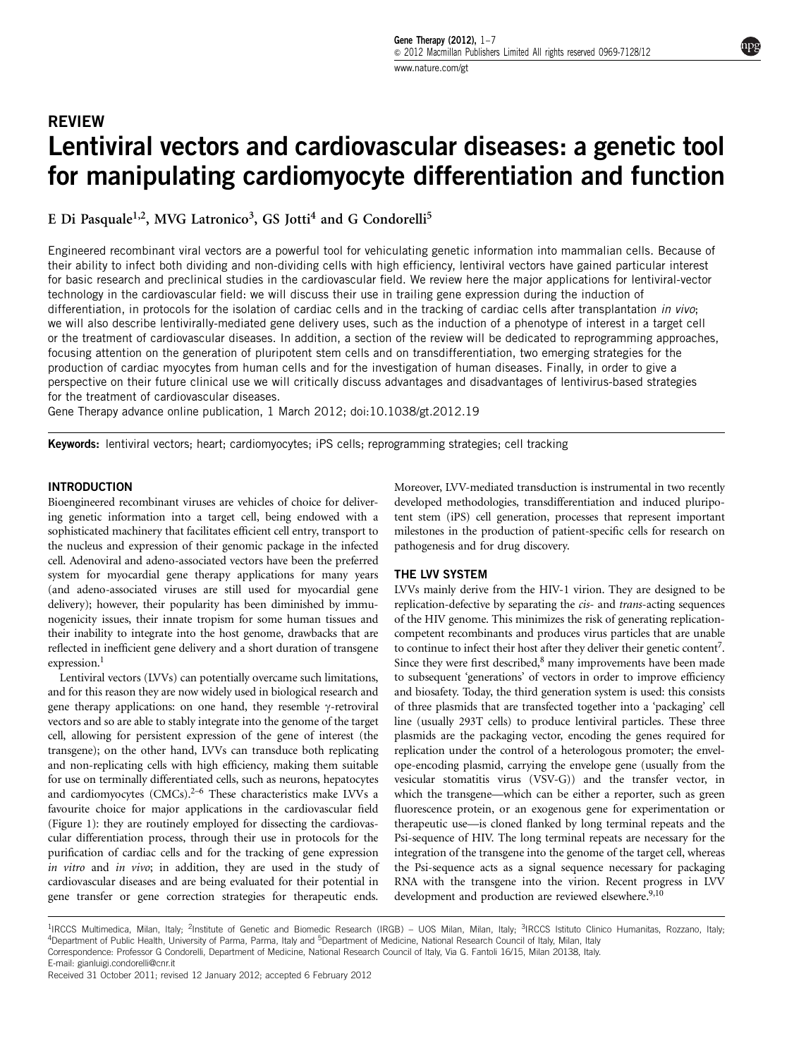# REVIEW Lentiviral vectors and cardiovascular diseases: a genetic tool for manipulating cardiomyocyte differentiation and function

E Di Pasquale<sup>1,2</sup>, MVG Latronico<sup>3</sup>, GS Jotti<sup>4</sup> and G Condorelli<sup>5</sup>

Engineered recombinant viral vectors are a powerful tool for vehiculating genetic information into mammalian cells. Because of their ability to infect both dividing and non-dividing cells with high efficiency, lentiviral vectors have gained particular interest for basic research and preclinical studies in the cardiovascular field. We review here the major applications for lentiviral-vector technology in the cardiovascular field: we will discuss their use in trailing gene expression during the induction of differentiation, in protocols for the isolation of cardiac cells and in the tracking of cardiac cells after transplantation in vivo; we will also describe lentivirally-mediated gene delivery uses, such as the induction of a phenotype of interest in a target cell or the treatment of cardiovascular diseases. In addition, a section of the review will be dedicated to reprogramming approaches, focusing attention on the generation of pluripotent stem cells and on transdifferentiation, two emerging strategies for the production of cardiac myocytes from human cells and for the investigation of human diseases. Finally, in order to give a perspective on their future clinical use we will critically discuss advantages and disadvantages of lentivirus-based strategies for the treatment of cardiovascular diseases.

Gene Therapy advance online publication, 1 March 2012; doi[:10.1038/gt.2012.19](http://dx.doi.org/10.1038/gt.2012.19)

Keywords: lentiviral vectors; heart; cardiomyocytes; iPS cells; reprogramming strategies; cell tracking

## **INTRODUCTION**

Bioengineered recombinant viruses are vehicles of choice for delivering genetic information into a target cell, being endowed with a sophisticated machinery that facilitates efficient cell entry, transport to the nucleus and expression of their genomic package in the infected cell. Adenoviral and adeno-associated vectors have been the preferred system for myocardial gene therapy applications for many years (and adeno-associated viruses are still used for myocardial gene delivery); however, their popularity has been diminished by immunogenicity issues, their innate tropism for some human tissues and their inability to integrate into the host genome, drawbacks that are reflected in inefficient gene delivery and a short duration of transgene expression.<sup>1</sup>

Lentiviral vectors (LVVs) can potentially overcame such limitations, and for this reason they are now widely used in biological research and gene therapy applications: on one hand, they resemble  $\gamma$ -retroviral vectors and so are able to stably integrate into the genome of the target cell, allowing for persistent expression of the gene of interest (the transgene); on the other hand, LVVs can transduce both replicating and non-replicating cells with high efficiency, making them suitable for use on terminally differentiated cells, such as neurons, hepatocytes and cardiomyocytes (CMCs).<sup>2–6</sup> These characteristics make LVVs a favourite choice for major applications in the cardiovascular field [\(Figure 1](#page-1-0)): they are routinely employed for dissecting the cardiovascular differentiation process, through their use in protocols for the purification of cardiac cells and for the tracking of gene expression in vitro and in vivo; in addition, they are used in the study of cardiovascular diseases and are being evaluated for their potential in gene transfer or gene correction strategies for therapeutic ends.

Moreover, LVV-mediated transduction is instrumental in two recently developed methodologies, transdifferentiation and induced pluripotent stem (iPS) cell generation, processes that represent important milestones in the production of patient-specific cells for research on pathogenesis and for drug discovery.

## THE LVV SYSTEM

LVVs mainly derive from the HIV-1 virion. They are designed to be replication-defective by separating the cis- and trans-acting sequences of the HIV genome. This minimizes the risk of generating replicationcompetent recombinants and produces virus particles that are unable to continue to infect their host after they deliver their genetic content<sup>7</sup>. Since they were first described, $8$  many improvements have been made to subsequent 'generations' of vectors in order to improve efficiency and biosafety. Today, the third generation system is used: this consists of three plasmids that are transfected together into a 'packaging' cell line (usually 293T cells) to produce lentiviral particles. These three plasmids are the packaging vector, encoding the genes required for replication under the control of a heterologous promoter; the envelope-encoding plasmid, carrying the envelope gene (usually from the vesicular stomatitis virus (VSV-G)) and the transfer vector, in which the transgene—which can be either a reporter, such as green fluorescence protein, or an exogenous gene for experimentation or therapeutic use—is cloned flanked by long terminal repeats and the Psi-sequence of HIV. The long terminal repeats are necessary for the integration of the transgene into the genome of the target cell, whereas the Psi-sequence acts as a signal sequence necessary for packaging RNA with the transgene into the virion. Recent progress in LVV development and production are reviewed elsewhere.<sup>[9,10](#page-5-0)</sup>

<sup>&</sup>lt;sup>1</sup>IRCCS Multimedica, Milan, Italy; <sup>2</sup>Institute of Genetic and Biomedic Research (IRGB) – UOS Milan, Milan, Italy; <sup>3</sup>IRCCS Istituto Clinico Humanitas, Rozzano, Italy; <sup>4</sup>Department of Public Health, University of Parma, Parma, Italy and <sup>5</sup>Department of Medicine, National Research Council of Italy, Milan, Italy Correspondence: Professor G Condorelli, Department of Medicine, National Research Council of Italy, Via G. Fantoli 16/15, Milan 20138, Italy. E-mail: [gianluigi.condorelli@cnr.it](mailto:gianluigi.condorelli@cnr.it)

Received 31 October 2011; revised 12 January 2012; accepted 6 February 2012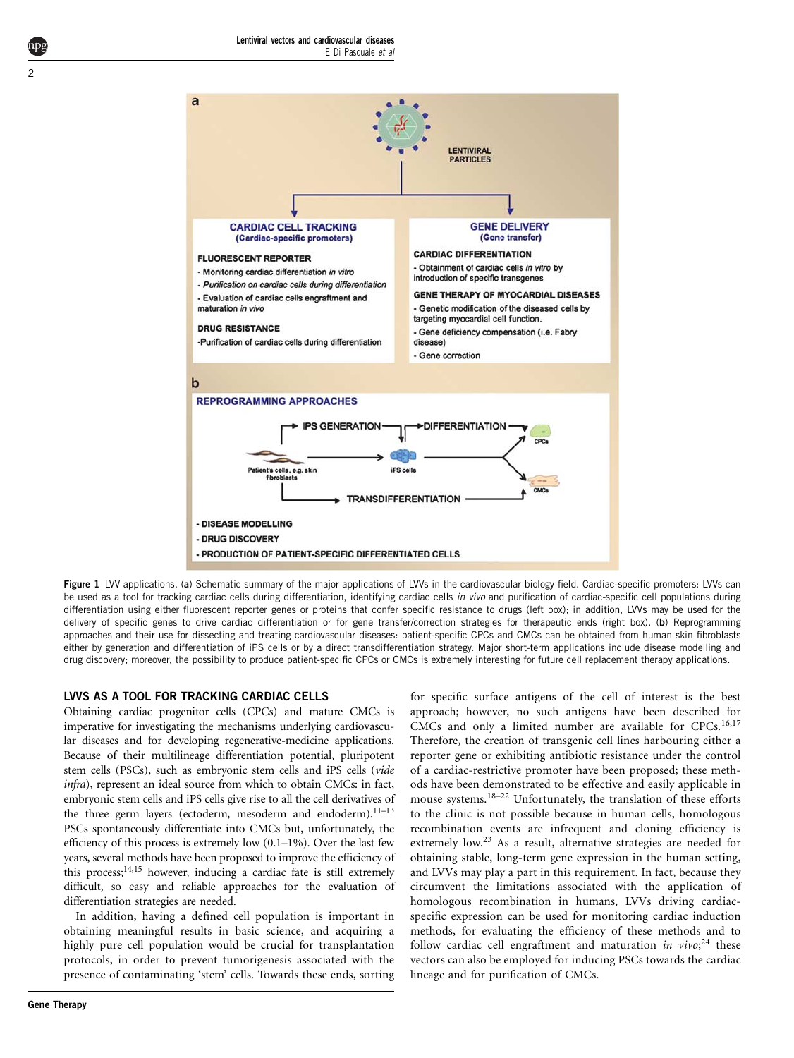<span id="page-1-0"></span>

Figure 1 LVV applications. (a) Schematic summary of the major applications of LVVs in the cardiovascular biology field. Cardiac-specific promoters: LVVs can be used as a tool for tracking cardiac cells during differentiation, identifying cardiac cells in vivo and purification of cardiac-specific cell populations during differentiation using either fluorescent reporter genes or proteins that confer specific resistance to drugs (left box); in addition, LVVs may be used for the delivery of specific genes to drive cardiac differentiation or for gene transfer/correction strategies for therapeutic ends (right box). (b) Reprogramming approaches and their use for dissecting and treating cardiovascular diseases: patient-specific CPCs and CMCs can be obtained from human skin fibroblasts either by generation and differentiation of iPS cells or by a direct transdifferentiation strategy. Major short-term applications include disease modelling and drug discovery; moreover, the possibility to produce patient-specific CPCs or CMCs is extremely interesting for future cell replacement therapy applications.

## LVVS AS A TOOL FOR TRACKING CARDIAC CELLS

Obtaining cardiac progenitor cells (CPCs) and mature CMCs is imperative for investigating the mechanisms underlying cardiovascular diseases and for developing regenerative-medicine applications. Because of their multilineage differentiation potential, pluripotent stem cells (PSCs), such as embryonic stem cells and iPS cells (vide infra), represent an ideal source from which to obtain CMCs: in fact, embryonic stem cells and iPS cells give rise to all the cell derivatives of the three germ layers (ectoderm, mesoderm and endoderm).<sup>11-13</sup> PSCs spontaneously differentiate into CMCs but, unfortunately, the efficiency of this process is extremely low  $(0.1-1\%)$ . Over the last few years, several methods have been proposed to improve the efficiency of this process;[14,15](#page-5-0) however, inducing a cardiac fate is still extremely difficult, so easy and reliable approaches for the evaluation of differentiation strategies are needed.

In addition, having a defined cell population is important in obtaining meaningful results in basic science, and acquiring a highly pure cell population would be crucial for transplantation protocols, in order to prevent tumorigenesis associated with the presence of contaminating 'stem' cells. Towards these ends, sorting for specific surface antigens of the cell of interest is the best approach; however, no such antigens have been described for CMCs and only a limited number are available for CPCs.<sup>[16,17](#page-5-0)</sup> Therefore, the creation of transgenic cell lines harbouring either a reporter gene or exhibiting antibiotic resistance under the control of a cardiac-restrictive promoter have been proposed; these methods have been demonstrated to be effective and easily applicable in mouse systems.[18–22](#page-5-0) Unfortunately, the translation of these efforts to the clinic is not possible because in human cells, homologous recombination events are infrequent and cloning efficiency is extremely low.<sup>[23](#page-5-0)</sup> As a result, alternative strategies are needed for obtaining stable, long-term gene expression in the human setting, and LVVs may play a part in this requirement. In fact, because they circumvent the limitations associated with the application of homologous recombination in humans, LVVs driving cardiacspecific expression can be used for monitoring cardiac induction methods, for evaluating the efficiency of these methods and to follow cardiac cell engraftment and maturation in vivo;<sup>[24](#page-5-0)</sup> these vectors can also be employed for inducing PSCs towards the cardiac lineage and for purification of CMCs.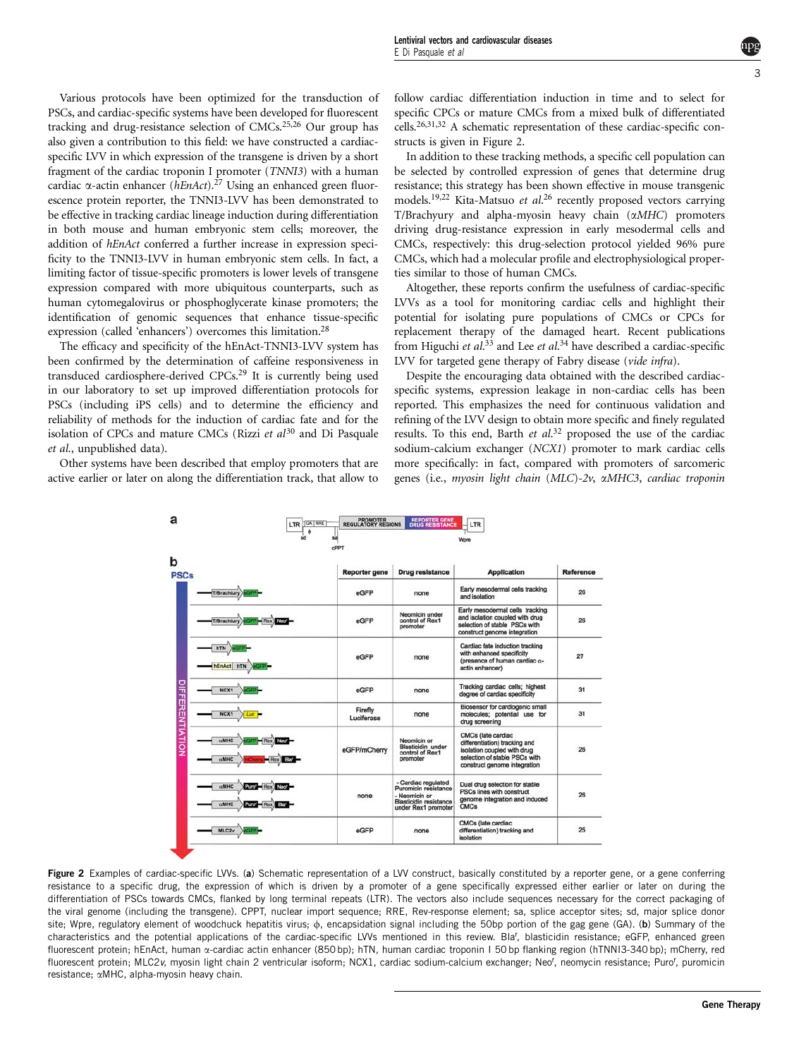Various protocols have been optimized for the transduction of PSCs, and cardiac-specific systems have been developed for fluorescent tracking and drug-resistance selection of CMCs.[25,26](#page-5-0) Our group has also given a contribution to this field: we have constructed a cardiacspecific LVV in which expression of the transgene is driven by a short fragment of the cardiac troponin I promoter (TNNI3) with a human cardiac  $\alpha$ -actin enhancer (hEnAct).<sup>[27](#page-5-0)</sup> Using an enhanced green fluorescence protein reporter, the TNNI3-LVV has been demonstrated to be effective in tracking cardiac lineage induction during differentiation in both mouse and human embryonic stem cells; moreover, the addition of hEnAct conferred a further increase in expression specificity to the TNNI3-LVV in human embryonic stem cells. In fact, a limiting factor of tissue-specific promoters is lower levels of transgene expression compared with more ubiquitous counterparts, such as human cytomegalovirus or phosphoglycerate kinase promoters; the identification of genomic sequences that enhance tissue-specific expression (called 'enhancers') overcomes this limitation.<sup>[28](#page-5-0)</sup>

The efficacy and specificity of the hEnAct-TNNI3-LVV system has been confirmed by the determination of caffeine responsiveness in transduced cardiosphere-derived CPCs.[29](#page-5-0) It is currently being used in our laboratory to set up improved differentiation protocols for PSCs (including iPS cells) and to determine the efficiency and reliability of methods for the induction of cardiac fate and for the isolation of CPCs and mature CMCs (Rizzi et  $al^{30}$  $al^{30}$  $al^{30}$  and Di Pasquale et al., unpublished data).

Other systems have been described that employ promoters that are active earlier or later on along the differentiation track, that allow to follow cardiac differentiation induction in time and to select for specific CPCs or mature CMCs from a mixed bulk of differentiated cells.[26,31,32](#page-5-0) A schematic representation of these cardiac-specific constructs is given in Figure 2.

In addition to these tracking methods, a specific cell population can be selected by controlled expression of genes that determine drug resistance; this strategy has been shown effective in mouse transgenic models.<sup>19,22</sup> Kita-Matsuo et al.<sup>[26](#page-5-0)</sup> recently proposed vectors carrying T/Brachyury and alpha-myosin heavy chain (aMHC) promoters driving drug-resistance expression in early mesodermal cells and CMCs, respectively: this drug-selection protocol yielded 96% pure CMCs, which had a molecular profile and electrophysiological properties similar to those of human CMCs.

Altogether, these reports confirm the usefulness of cardiac-specific LVVs as a tool for monitoring cardiac cells and highlight their potential for isolating pure populations of CMCs or CPCs for replacement therapy of the damaged heart. Recent publications from Higuchi et al.<sup>[33](#page-6-0)</sup> and Lee et al.<sup>[34](#page-6-0)</sup> have described a cardiac-specific LVV for targeted gene therapy of Fabry disease (vide infra).

Despite the encouraging data obtained with the described cardiacspecific systems, expression leakage in non-cardiac cells has been reported. This emphasizes the need for continuous validation and refining of the LVV design to obtain more specific and finely regulated results. To this end, Barth et al.<sup>[32](#page-5-0)</sup> proposed the use of the cardiac sodium-calcium exchanger (NCX1) promoter to mark cardiac cells more specifically: in fact, compared with promoters of sarcomeric genes (i.e., myosin light chain (MLC)-2v, aMHC3, cardiac troponin

|                         |                                             | <b>CPPT</b>           |                                                                                                                      | Wore                                                                                                                                                |           |
|-------------------------|---------------------------------------------|-----------------------|----------------------------------------------------------------------------------------------------------------------|-----------------------------------------------------------------------------------------------------------------------------------------------------|-----------|
| <b>PSCs</b>             |                                             | <b>Reporter gene</b>  | <b>Drug resistance</b>                                                                                               | <b>Application</b>                                                                                                                                  | Reference |
|                         | T/Brachiury<br><b>CFP</b>                   | eGFP                  | none                                                                                                                 | Early mesodermal cells tracking<br>and isolation                                                                                                    | 26        |
|                         | <b>T/Brachiury</b><br>$GFP = Rex$           | eGFP                  | Neomicin under<br>control of Rex1<br>promoter                                                                        | Early mesodermal cells tracking<br>and isolation coupled with drug<br>selection of stable PSCs with<br>construct genome integration                 | 26        |
|                         | hTN<br>hEnAct hTN                           | eGFP                  | none                                                                                                                 | Cardiac fate induction tracking<br>with enhanced specificity<br>(presence of human cardiac a-<br>actin enhancer)                                    | 27        |
|                         | NCX1                                        | eGFP                  | none                                                                                                                 | Tracking cardiac cells; highest<br>degree of cardiac specificity                                                                                    | 31        |
| <b>DIFFERENT IATION</b> | NCX1<br>Luc                                 | Firefly<br>Luciferase | none                                                                                                                 | Biosensor for cardiogenic small<br>molecules; potential use for<br>drug screening                                                                   | 31        |
|                         | <b>GMHC</b><br>Rex) Neo<br>$\alpha$ MHC     | eGFP/mCherry          | Neomicin or<br>Blasticidin under<br>control of Rex1<br>promoter                                                      | CMCs (late cardiac<br>differentiation) tracking and<br>isolation coupled with drug<br>selection of stable PSCs with<br>construct genome integration | 26        |
|                         | aMHC<br>Rec<br>Puro'<br><b>aMHC</b><br>Puro | none                  | - Cardiac regulated<br>Puromicin resistance<br>- Neomicin or<br><b>Blasticidin resistance</b><br>under Rex1 promoter | Dual drug selection for stable<br>PSCs lines with construct<br>genome integration and induced<br><b>CMCs</b>                                        | 26        |
|                         | MLC2v                                       | eGFP                  | none                                                                                                                 | CMCs (late cardiac<br>differentiation) tracking and<br>isolation                                                                                    | 25        |

Figure 2 Examples of cardiac-specific LVVs. (a) Schematic representation of a LVV construct, basically constituted by a reporter gene, or a gene conferring resistance to a specific drug, the expression of which is driven by a promoter of a gene specifically expressed either earlier or later on during the differentiation of PSCs towards CMCs, flanked by long terminal repeats (LTR). The vectors also include sequences necessary for the correct packaging of the viral genome (including the transgene). CPPT, nuclear import sequence; RRE, Rev-response element; sa, splice acceptor sites; sd, major splice donor site; Wpre, regulatory element of woodchuck hepatitis virus;  $\phi$ , encapsidation signal including the 50bp portion of the gag gene (GA). (b) Summary of the characteristics and the potential applications of the cardiac-specific LVVs mentioned in this review. Bla<sup>r</sup>, blasticidin resistance; eGFP, enhanced green fluorescent protein; hEnAct, human a-cardiac actin enhancer (850 bp); hTN, human cardiac troponin I 50 bp flanking region (hTNNI3-340 bp); mCherry, red fluorescent protein; MLC2v, myosin light chain 2 ventricular isoform; NCX1, cardiac sodium-calcium exchanger; Neo<sup>r</sup>, neomycin resistance; Puro<sup>r</sup>, puromicin resistance; aMHC, alpha-myosin heavy chain.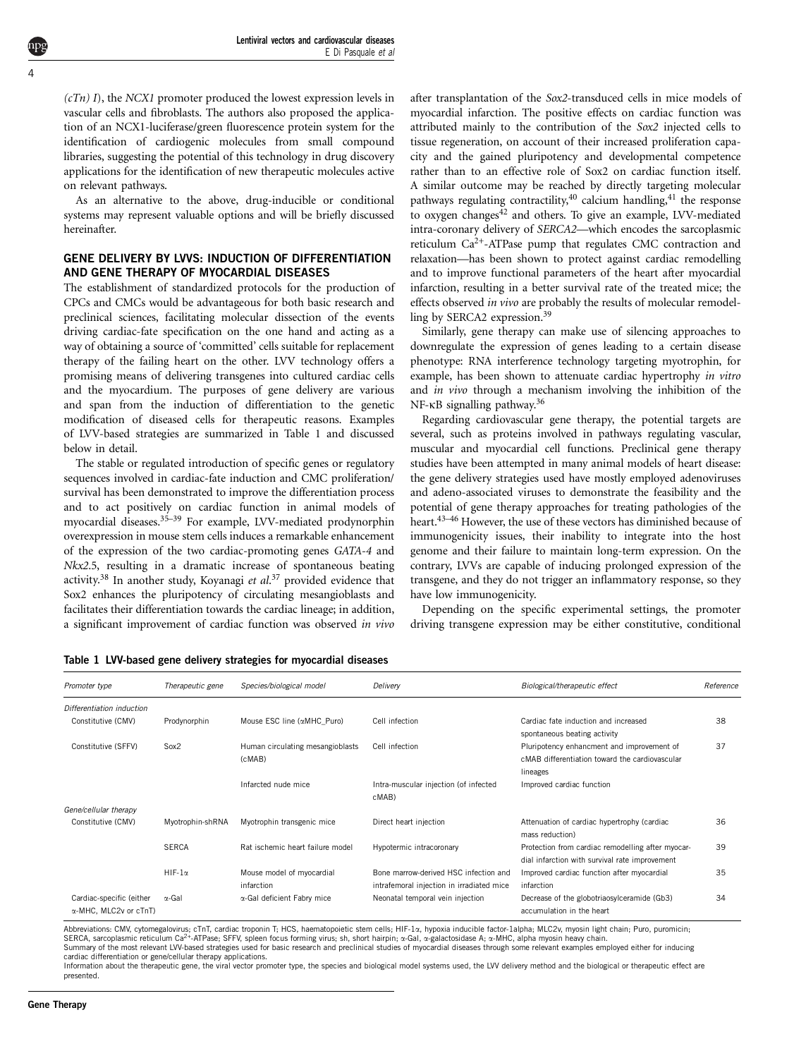$(cTn)$  I), the NCX1 promoter produced the lowest expression levels in vascular cells and fibroblasts. The authors also proposed the application of an NCX1-luciferase/green fluorescence protein system for the identification of cardiogenic molecules from small compound libraries, suggesting the potential of this technology in drug discovery applications for the identification of new therapeutic molecules active on relevant pathways.

As an alternative to the above, drug-inducible or conditional systems may represent valuable options and will be briefly discussed hereinafter.

## GENE DELIVERY BY LVVS: INDUCTION OF DIFFERENTIATION AND GENE THERAPY OF MYOCARDIAL DISEASES

The establishment of standardized protocols for the production of CPCs and CMCs would be advantageous for both basic research and preclinical sciences, facilitating molecular dissection of the events driving cardiac-fate specification on the one hand and acting as a way of obtaining a source of 'committed' cells suitable for replacement therapy of the failing heart on the other. LVV technology offers a promising means of delivering transgenes into cultured cardiac cells and the myocardium. The purposes of gene delivery are various and span from the induction of differentiation to the genetic modification of diseased cells for therapeutic reasons. Examples of LVV-based strategies are summarized in Table 1 and discussed below in detail.

The stable or regulated introduction of specific genes or regulatory sequences involved in cardiac-fate induction and CMC proliferation/ survival has been demonstrated to improve the differentiation process and to act positively on cardiac function in animal models of myocardial diseases.<sup>35–39</sup> For example, LVV-mediated prodynorphin overexpression in mouse stem cells induces a remarkable enhancement of the expression of the two cardiac-promoting genes GATA-4 and Nkx2.5, resulting in a dramatic increase of spontaneous beating activity.<sup>38</sup> In another study, Koyanagi et al.<sup>[37](#page-6-0)</sup> provided evidence that Sox2 enhances the pluripotency of circulating mesangioblasts and facilitates their differentiation towards the cardiac lineage; in addition, a significant improvement of cardiac function was observed in vivo

after transplantation of the Sox2-transduced cells in mice models of myocardial infarction. The positive effects on cardiac function was attributed mainly to the contribution of the Sox2 injected cells to tissue regeneration, on account of their increased proliferation capacity and the gained pluripotency and developmental competence rather than to an effective role of Sox2 on cardiac function itself. A similar outcome may be reached by directly targeting molecular pathways regulating contractility,  $40$  calcium handling,  $41$  the response to oxygen changes<sup>[42](#page-6-0)</sup> and others. To give an example, LVV-mediated intra-coronary delivery of SERCA2—which encodes the sarcoplasmic reticulum  $Ca^{2+}$ -ATPase pump that regulates CMC contraction and relaxation—has been shown to protect against cardiac remodelling and to improve functional parameters of the heart after myocardial infarction, resulting in a better survival rate of the treated mice; the effects observed in vivo are probably the results of molecular remodelling by SERCA2 expression.[39](#page-6-0)

Similarly, gene therapy can make use of silencing approaches to downregulate the expression of genes leading to a certain disease phenotype: RNA interference technology targeting myotrophin, for example, has been shown to attenuate cardiac hypertrophy in vitro and in vivo through a mechanism involving the inhibition of the NF-<sub>KB</sub> signalling pathway.<sup>36</sup>

Regarding cardiovascular gene therapy, the potential targets are several, such as proteins involved in pathways regulating vascular, muscular and myocardial cell functions. Preclinical gene therapy studies have been attempted in many animal models of heart disease: the gene delivery strategies used have mostly employed adenoviruses and adeno-associated viruses to demonstrate the feasibility and the potential of gene therapy approaches for treating pathologies of the heart.<sup>43–46</sup> However, the use of these vectors has diminished because of immunogenicity issues, their inability to integrate into the host genome and their failure to maintain long-term expression. On the contrary, LVVs are capable of inducing prolonged expression of the transgene, and they do not trigger an inflammatory response, so they have low immunogenicity.

Depending on the specific experimental settings, the promoter driving transgene expression may be either constitutive, conditional

| Promoter type                                     | Therapeutic gene | Species/biological model                   | Delivery                                                                           | Biological/therapeutic effect                                                                            | Reference |
|---------------------------------------------------|------------------|--------------------------------------------|------------------------------------------------------------------------------------|----------------------------------------------------------------------------------------------------------|-----------|
| Differentiation induction                         |                  |                                            |                                                                                    |                                                                                                          |           |
| Constitutive (CMV)                                | Prodynorphin     | Mouse ESC line (αMHC Puro)                 | Cell infection                                                                     | Cardiac fate induction and increased<br>spontaneous beating activity                                     | 38        |
| Constitutive (SFFV)                               | Sox2             | Human circulating mesangioblasts<br>(CMAB) | Cell infection                                                                     | Pluripotency enhancment and improvement of<br>cMAB differentiation toward the cardiovascular<br>lineages | 37        |
|                                                   |                  | Infarcted nude mice                        | Intra-muscular injection (of infected<br>cMAB)                                     | Improved cardiac function                                                                                |           |
| Gene/cellular therapy                             |                  |                                            |                                                                                    |                                                                                                          |           |
| Constitutive (CMV)                                | Myotrophin-shRNA | Myotrophin transgenic mice                 | Direct heart injection                                                             | Attenuation of cardiac hypertrophy (cardiac<br>mass reduction)                                           | 36        |
|                                                   | <b>SERCA</b>     | Rat ischemic heart failure model           | Hypotermic intracoronary                                                           | Protection from cardiac remodelling after myocar-<br>dial infarction with survival rate improvement      | 39        |
|                                                   | $HIF-1\alpha$    | Mouse model of myocardial<br>infarction    | Bone marrow-derived HSC infection and<br>intrafemoral injection in irradiated mice | Improved cardiac function after myocardial<br>infarction                                                 | 35        |
| Cardiac-specific (either<br>α-MHC, MLC2v or cTnT) | $\alpha$ -Gal    | α-Gal deficient Fabry mice                 | Neonatal temporal vein injection                                                   | Decrease of the globotriaosylceramide (Gb3)<br>accumulation in the heart                                 | 34        |

Abbreviations: CMV, cytomegalovirus; cTnT, cardiac troponin T; HCS, haematopoietic stem cells; HIF-1α, hypoxia inducible factor-1alpha; MLC2v, myosin light chain; Puro, puromicin;<br>SERCA, sarcoplasmic reticulum Ca<sup>2+</sup>-ATPas Summary of the most relevant LVV-based strategies used for basic research and preclinical studies of myocardial diseases through some relevant examples employed either for inducing cardiac differentiation or gene/cellular therapy applications.

Information about the therapeutic gene, the viral vector promoter type, the species and biological model systems used, the LVV delivery method and the biological or therapeutic effect are presented.

Table 1 LVV-based gene delivery strategies for myocardial diseases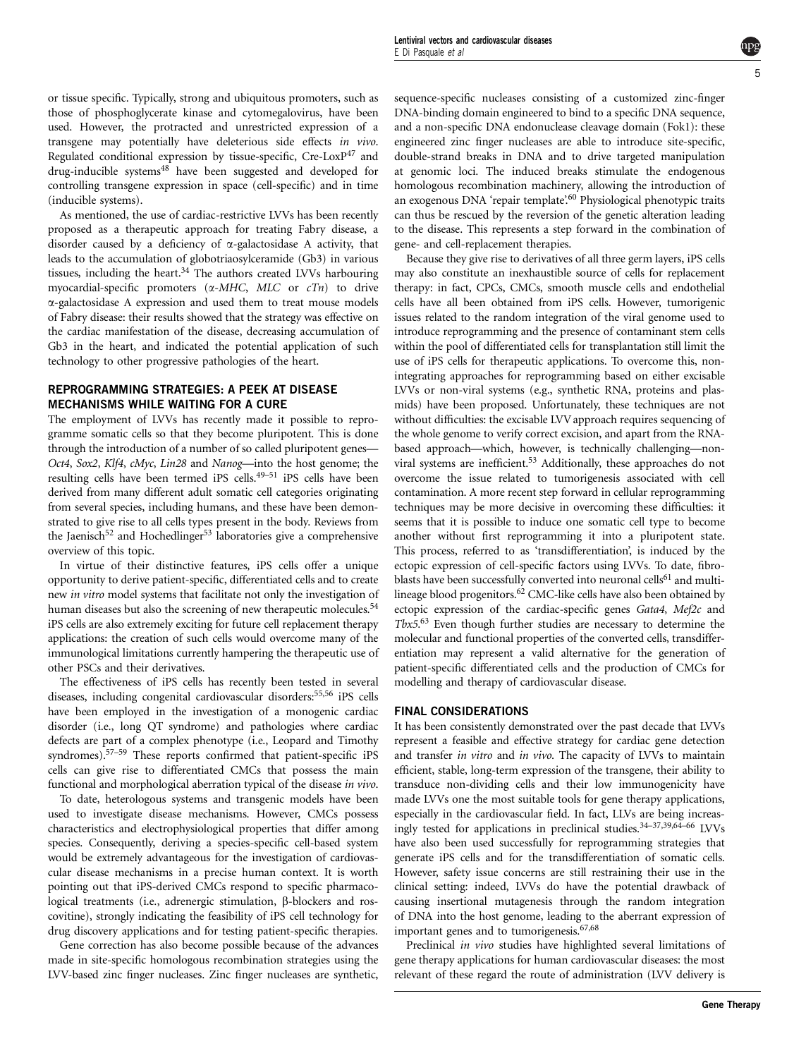or tissue specific. Typically, strong and ubiquitous promoters, such as those of phosphoglycerate kinase and cytomegalovirus, have been used. However, the protracted and unrestricted expression of a transgene may potentially have deleterious side effects in vivo. Regulated conditional expression by tissue-specific, Cre-LoxP<sup>47</sup> and drug-inducible systems<sup>[48](#page-6-0)</sup> have been suggested and developed for controlling transgene expression in space (cell-specific) and in time (inducible systems).

As mentioned, the use of cardiac-restrictive LVVs has been recently proposed as a therapeutic approach for treating Fabry disease, a disorder caused by a deficiency of a-galactosidase A activity, that leads to the accumulation of globotriaosylceramide (Gb3) in various tissues, including the heart.<sup>[34](#page-6-0)</sup> The authors created LVVs harbouring myocardial-specific promoters  $(\alpha$ -MHC, MLC or  $cTn$ ) to drive a-galactosidase A expression and used them to treat mouse models of Fabry disease: their results showed that the strategy was effective on the cardiac manifestation of the disease, decreasing accumulation of Gb3 in the heart, and indicated the potential application of such technology to other progressive pathologies of the heart.

## REPROGRAMMING STRATEGIES: A PEEK AT DISEASE MECHANISMS WHILE WAITING FOR A CURE

The employment of LVVs has recently made it possible to reprogramme somatic cells so that they become pluripotent. This is done through the introduction of a number of so called pluripotent genes— Oct4, Sox2, Klf4, cMyc, Lin28 and Nanog—into the host genome; the resulting cells have been termed iPS cells[.49–51](#page-6-0) iPS cells have been derived from many different adult somatic cell categories originating from several species, including humans, and these have been demonstrated to give rise to all cells types present in the body. Reviews from the Jaenisch<sup>[52](#page-6-0)</sup> and Hochedlinger<sup>[53](#page-6-0)</sup> laboratories give a comprehensive overview of this topic.

In virtue of their distinctive features, iPS cells offer a unique opportunity to derive patient-specific, differentiated cells and to create new in vitro model systems that facilitate not only the investigation of human diseases but also the screening of new therapeutic molecules.<sup>[54](#page-6-0)</sup> iPS cells are also extremely exciting for future cell replacement therapy applications: the creation of such cells would overcome many of the immunological limitations currently hampering the therapeutic use of other PSCs and their derivatives.

The effectiveness of iPS cells has recently been tested in several diseases, including congenital cardiovascular disorders:[55,56](#page-6-0) iPS cells have been employed in the investigation of a monogenic cardiac disorder (i.e., long QT syndrome) and pathologies where cardiac defects are part of a complex phenotype (i.e., Leopard and Timothy syndromes).<sup>57-59</sup> These reports confirmed that patient-specific iPS cells can give rise to differentiated CMCs that possess the main functional and morphological aberration typical of the disease in vivo.

To date, heterologous systems and transgenic models have been used to investigate disease mechanisms. However, CMCs possess characteristics and electrophysiological properties that differ among species. Consequently, deriving a species-specific cell-based system would be extremely advantageous for the investigation of cardiovascular disease mechanisms in a precise human context. It is worth pointing out that iPS-derived CMCs respond to specific pharmacological treatments (i.e., adrenergic stimulation,  $\beta$ -blockers and roscovitine), strongly indicating the feasibility of iPS cell technology for drug discovery applications and for testing patient-specific therapies.

Gene correction has also become possible because of the advances made in site-specific homologous recombination strategies using the LVV-based zinc finger nucleases. Zinc finger nucleases are synthetic,

sequence-specific nucleases consisting of a customized zinc-finger DNA-binding domain engineered to bind to a specific DNA sequence, and a non-specific DNA endonuclease cleavage domain (Fok1): these engineered zinc finger nucleases are able to introduce site-specific, double-strand breaks in DNA and to drive targeted manipulation at genomic loci. The induced breaks stimulate the endogenous homologous recombination machinery, allowing the introduction of an exogenous DNA 'repair template'.<sup>60</sup> Physiological phenotypic traits can thus be rescued by the reversion of the genetic alteration leading to the disease. This represents a step forward in the combination of gene- and cell-replacement therapies.

Because they give rise to derivatives of all three germ layers, iPS cells may also constitute an inexhaustible source of cells for replacement therapy: in fact, CPCs, CMCs, smooth muscle cells and endothelial cells have all been obtained from iPS cells. However, tumorigenic issues related to the random integration of the viral genome used to introduce reprogramming and the presence of contaminant stem cells within the pool of differentiated cells for transplantation still limit the use of iPS cells for therapeutic applications. To overcome this, nonintegrating approaches for reprogramming based on either excisable LVVs or non-viral systems (e.g., synthetic RNA, proteins and plasmids) have been proposed. Unfortunately, these techniques are not without difficulties: the excisable LVV approach requires sequencing of the whole genome to verify correct excision, and apart from the RNAbased approach—which, however, is technically challenging—nonviral systems are inefficient.<sup>53</sup> Additionally, these approaches do not overcome the issue related to tumorigenesis associated with cell contamination. A more recent step forward in cellular reprogramming techniques may be more decisive in overcoming these difficulties: it seems that it is possible to induce one somatic cell type to become another without first reprogramming it into a pluripotent state. This process, referred to as 'transdifferentiation', is induced by the ectopic expression of cell-specific factors using LVVs. To date, fibro-blasts have been successfully converted into neuronal cells<sup>[61](#page-6-0)</sup> and multi-lineage blood progenitors.<sup>[62](#page-6-0)</sup> CMC-like cells have also been obtained by ectopic expression of the cardiac-specific genes Gata4, Mef2c and Tbx5. [63](#page-6-0) Even though further studies are necessary to determine the molecular and functional properties of the converted cells, transdifferentiation may represent a valid alternative for the generation of patient-specific differentiated cells and the production of CMCs for modelling and therapy of cardiovascular disease.

# FINAL CONSIDERATIONS

It has been consistently demonstrated over the past decade that LVVs represent a feasible and effective strategy for cardiac gene detection and transfer in vitro and in vivo. The capacity of LVVs to maintain efficient, stable, long-term expression of the transgene, their ability to transduce non-dividing cells and their low immunogenicity have made LVVs one the most suitable tools for gene therapy applications, especially in the cardiovascular field. In fact, LLVs are being increasingly tested for applications in preclinical studies[.34–37,39,64–66](#page-6-0) LVVs have also been used successfully for reprogramming strategies that generate iPS cells and for the transdifferentiation of somatic cells. However, safety issue concerns are still restraining their use in the clinical setting: indeed, LVVs do have the potential drawback of causing insertional mutagenesis through the random integration of DNA into the host genome, leading to the aberrant expression of important genes and to tumorigenesis.<sup>67,68</sup>

Preclinical in vivo studies have highlighted several limitations of gene therapy applications for human cardiovascular diseases: the most relevant of these regard the route of administration (LVV delivery is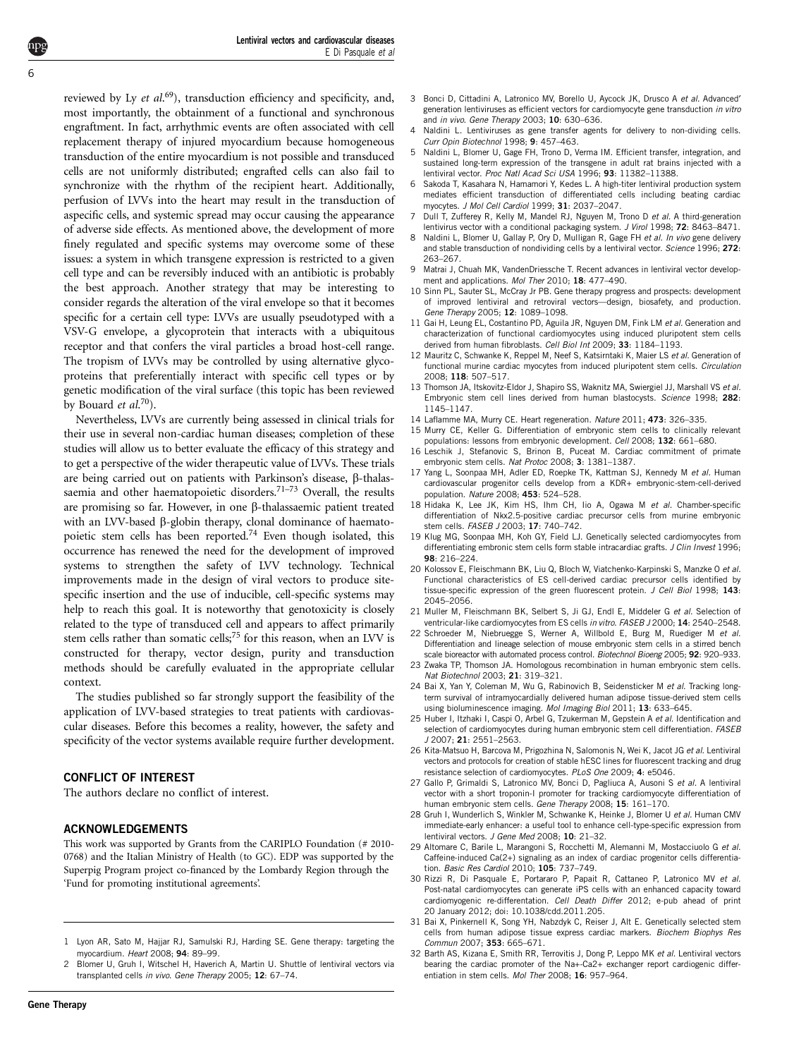Lentiviral vectors and cardiovascular diseases E Di Pasquale et al

<span id="page-5-0"></span>reviewed by Ly et al.<sup>69</sup>), transduction efficiency and specificity, and, most importantly, the obtainment of a functional and synchronous engraftment. In fact, arrhythmic events are often associated with cell replacement therapy of injured myocardium because homogeneous transduction of the entire myocardium is not possible and transduced cells are not uniformly distributed; engrafted cells can also fail to synchronize with the rhythm of the recipient heart. Additionally, perfusion of LVVs into the heart may result in the transduction of aspecific cells, and systemic spread may occur causing the appearance of adverse side effects. As mentioned above, the development of more finely regulated and specific systems may overcome some of these issues: a system in which transgene expression is restricted to a given cell type and can be reversibly induced with an antibiotic is probably the best approach. Another strategy that may be interesting to consider regards the alteration of the viral envelope so that it becomes specific for a certain cell type: LVVs are usually pseudotyped with a VSV-G envelope, a glycoprotein that interacts with a ubiquitous receptor and that confers the viral particles a broad host-cell range. The tropism of LVVs may be controlled by using alternative glycoproteins that preferentially interact with specific cell types or by genetic modification of the viral surface (this topic has been reviewed by Bouard et al.<sup>70</sup>).

Nevertheless, LVVs are currently being assessed in clinical trials for their use in several non-cardiac human diseases; completion of these studies will allow us to better evaluate the efficacy of this strategy and to get a perspective of the wider therapeutic value of LVVs. These trials are being carried out on patients with Parkinson's disease,  $\beta$ -thalassaemia and other haematopoietic disorders.<sup>71-73</sup> Overall, the results are promising so far. However, in one  $\beta$ -thalassaemic patient treated with an LVV-based  $\beta$ -globin therapy, clonal dominance of haematopoietic stem cells has been reported.[74](#page-6-0) Even though isolated, this occurrence has renewed the need for the development of improved systems to strengthen the safety of LVV technology. Technical improvements made in the design of viral vectors to produce sitespecific insertion and the use of inducible, cell-specific systems may help to reach this goal. It is noteworthy that genotoxicity is closely related to the type of transduced cell and appears to affect primarily stem cells rather than somatic cells;<sup>[75](#page-6-0)</sup> for this reason, when an LVV is constructed for therapy, vector design, purity and transduction methods should be carefully evaluated in the appropriate cellular context.

The studies published so far strongly support the feasibility of the application of LVV-based strategies to treat patients with cardiovascular diseases. Before this becomes a reality, however, the safety and specificity of the vector systems available require further development.

#### CONFLICT OF INTEREST

The authors declare no conflict of interest.

#### ACKNOWLEDGEMENTS

This work was supported by Grants from the CARIPLO Foundation (# 2010- 0768) and the Italian Ministry of Health (to GC). EDP was supported by the Superpig Program project co-financed by the Lombardy Region through the 'Fund for promoting institutional agreements'.

- Lyon AR, Sato M, Hajjar RJ, Samulski RJ, Harding SE. Gene therapy: targeting the myocardium. Heart 2008; 94: 89–99.
- 2 Blomer U, Gruh I, Witschel H, Haverich A, Martin U. Shuttle of lentiviral vectors via transplanted cells in vivo. Gene Therapy 2005; 12: 67–74.
- 3 Bonci D, Cittadini A, Latronico MV, Borello U, Aycock JK, Drusco A et al. Advanced' generation lentiviruses as efficient vectors for cardiomyocyte gene transduction in vitro and in vivo. Gene Therapy 2003; 10: 630–636.
- 4 Naldini L. Lentiviruses as gene transfer agents for delivery to non-dividing cells. Curr Opin Biotechnol 1998; 9: 457–463.
- 5 Naldini L, Blomer U, Gage FH, Trono D, Verma IM. Efficient transfer, integration, and sustained long-term expression of the transgene in adult rat brains injected with a lentiviral vector. Proc Natl Acad Sci USA 1996; 93: 11382–11388.
- 6 Sakoda T, Kasahara N, Hamamori Y, Kedes L. A high-titer lentiviral production system mediates efficient transduction of differentiated cells including beating cardiac myocytes. J Mol Cell Cardiol 1999; 31: 2037–2047.
- 7 Dull T, Zufferey R, Kelly M, Mandel RJ, Nguyen M, Trono D et al. A third-generation lentivirus vector with a conditional packaging system. J Virol 1998; 72: 8463-8471.
- 8 Naldini L, Blomer U, Gallay P, Ory D, Mulligan R, Gage FH et al. In vivo gene delivery and stable transduction of nondividing cells by a lentiviral vector. Science 1996; 272: 263–267.
- 9 Matrai J, Chuah MK, VandenDriessche T. Recent advances in lentiviral vector development and applications. Mol Ther 2010; 18: 477-490.
- 10 Sinn PL, Sauter SL, McCray Jr PB. Gene therapy progress and prospects: development of improved lentiviral and retroviral vectors—design, biosafety, and production. Gene Therapy 2005; 12: 1089–1098.
- 11 Gai H, Leung EL, Costantino PD, Aguila JR, Nguyen DM, Fink LM et al. Generation and characterization of functional cardiomyocytes using induced pluripotent stem cells derived from human fibroblasts. Cell Biol Int 2009; 33: 1184-1193.
- 12 Mauritz C, Schwanke K, Reppel M, Neef S, Katsirntaki K, Maier LS et al. Generation of functional murine cardiac myocytes from induced pluripotent stem cells. Circulation 2008; 118: 507–517.
- 13 Thomson JA, Itskovitz-Eldor J, Shapiro SS, Waknitz MA, Swiergiel JJ, Marshall VS et al. Embryonic stem cell lines derived from human blastocysts. Science 1998; 282: 1145–1147.
- 14 Laflamme MA, Murry CE. Heart regeneration. Nature 2011; 473: 326-335.
- 15 Murry CE, Keller G. Differentiation of embryonic stem cells to clinically relevant populations: lessons from embryonic development. Cell 2008; 132: 661-680.
- 16 Leschik J, Stefanovic S, Brinon B, Puceat M. Cardiac commitment of primate embryonic stem cells. Nat Protoc 2008; 3: 1381–1387.
- 17 Yang L, Soonpaa MH, Adler ED, Roepke TK, Kattman SJ, Kennedy M et al. Human cardiovascular progenitor cells develop from a KDR+ embryonic-stem-cell-derived population. Nature 2008; 453: 524–528.
- 18 Hidaka K, Lee JK, Kim HS, Ihm CH, Iio A, Ogawa M et al. Chamber-specific differentiation of Nkx2.5-positive cardiac precursor cells from murine embryonic stem cells. FASEB J 2003; 17: 740–742.
- 19 Klug MG, Soonpaa MH, Koh GY, Field LJ. Genetically selected cardiomyocytes from differentiating embronic stem cells form stable intracardiac grafts. J Clin Invest 1996; 98: 216–224.
- 20 Kolossov E, Fleischmann BK, Liu Q, Bloch W, Viatchenko-Karpinski S, Manzke O et al. Functional characteristics of ES cell-derived cardiac precursor cells identified by tissue-specific expression of the green fluorescent protein. J Cell Biol 1998; 143: 2045–2056.
- 21 Muller M, Fleischmann BK, Selbert S, Ji GJ, Endl E, Middeler G et al. Selection of ventricular-like cardiomyocytes from ES cells in vitro. FASEB J 2000; 14: 2540-2548.
- 22 Schroeder M, Niebruegge S, Werner A, Willbold E, Burg M, Ruediger M et al. Differentiation and lineage selection of mouse embryonic stem cells in a stirred bench scale bioreactor with automated process control. Biotechnol Bioeng 2005; 92: 920-933.
- 23 Zwaka TP, Thomson JA. Homologous recombination in human embryonic stem cells. Nat Biotechnol 2003; 21: 319–321.
- 24 Bai X, Yan Y, Coleman M, Wu G, Rabinovich B, Seidensticker M et al. Tracking longterm survival of intramyocardially delivered human adipose tissue-derived stem cells using bioluminescence imaging. Mol Imaging Biol 2011; 13: 633-645.
- 25 Huber I, Itzhaki I, Caspi O, Arbel G, Tzukerman M, Gepstein A et al. Identification and selection of cardiomyocytes during human embryonic stem cell differentiation. FASEB J 2007; 21: 2551–2563.
- 26 Kita-Matsuo H, Barcova M, Prigozhina N, Salomonis N, Wei K, Jacot JG et al. Lentiviral vectors and protocols for creation of stable hESC lines for fluorescent tracking and drug resistance selection of cardiomyocytes. PLoS One 2009; 4: e5046.
- 27 Gallo P, Grimaldi S, Latronico MV, Bonci D, Pagliuca A, Ausoni S et al. A lentiviral vector with a short troponin-I promoter for tracking cardiomyocyte differentiation of human embryonic stem cells. Gene Therapy 2008; 15: 161–170.
- 28 Gruh I, Wunderlich S, Winkler M, Schwanke K, Heinke J, Blomer U et al. Human CMV immediate-early enhancer: a useful tool to enhance cell-type-specific expression from lentiviral vectors. J Gene Med 2008; 10: 21-32.
- 29 Altomare C, Barile L, Marangoni S, Rocchetti M, Alemanni M, Mostacciuolo G et al. Caffeine-induced Ca(2+) signaling as an index of cardiac progenitor cells differentiation. Basic Res Cardiol 2010; 105: 737–749.
- 30 Rizzi R, Di Pasquale E, Portararo P, Papait R, Cattaneo P, Latronico MV et al. Post-natal cardiomyocytes can generate iPS cells with an enhanced capacity toward cardiomyogenic re-differentation. Cell Death Differ 2012; e-pub ahead of print 20 January 2012; doi: 10.1038/cdd.2011.205.
- 31 Bai X, Pinkernell K, Song YH, Nabzdyk C, Reiser J, Alt E. Genetically selected stem cells from human adipose tissue express cardiac markers. Biochem Biophys Res Commun 2007; 353: 665–671.
- 32 Barth AS, Kizana E, Smith RR, Terrovitis J, Dong P, Leppo MK et al. Lentiviral vectors bearing the cardiac promoter of the Na+-Ca2+ exchanger report cardiogenic differentiation in stem cells. Mol Ther 2008; 16: 957-964.